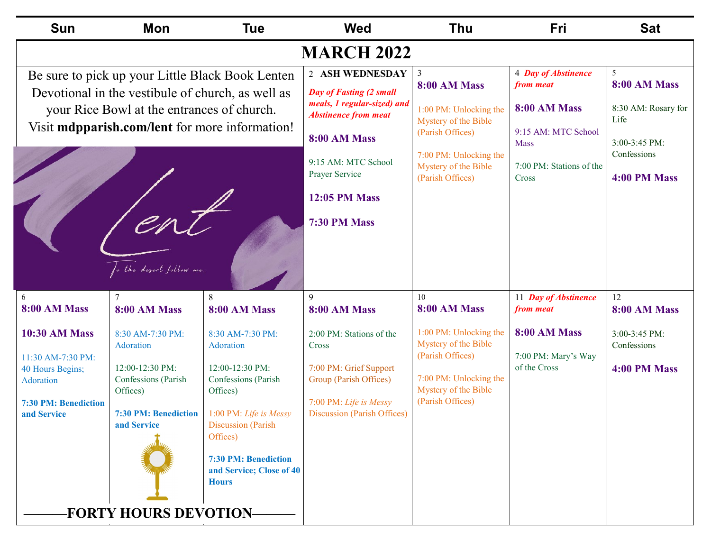| <b>Sun</b>                                                                                                                                                                                                                                      | <b>Mon</b>                                                                                                                        | Tue                                                                                                                                                                                                                        | <b>Wed</b>                                                                                                                                                                 | <b>Thu</b>                                                                                                                               | Fri                                                                                                           | <b>Sat</b>                                   |
|-------------------------------------------------------------------------------------------------------------------------------------------------------------------------------------------------------------------------------------------------|-----------------------------------------------------------------------------------------------------------------------------------|----------------------------------------------------------------------------------------------------------------------------------------------------------------------------------------------------------------------------|----------------------------------------------------------------------------------------------------------------------------------------------------------------------------|------------------------------------------------------------------------------------------------------------------------------------------|---------------------------------------------------------------------------------------------------------------|----------------------------------------------|
|                                                                                                                                                                                                                                                 |                                                                                                                                   |                                                                                                                                                                                                                            | <b>MARCH 2022</b>                                                                                                                                                          |                                                                                                                                          |                                                                                                               |                                              |
| Be sure to pick up your Little Black Book Lenten<br>Devotional in the vestibule of church, as well as<br>your Rice Bowl at the entrances of church.<br>Visit <b>mdpparish.com/lent</b> for more information!<br>enl<br>fo the desert follow me. |                                                                                                                                   | 2 ASH WEDNESDAY<br>Day of Fasting (2 small<br>meals, 1 regular-sized) and<br><b>Abstinence from meat</b><br><b>8:00 AM Mass</b><br>9:15 AM: MTC School<br>Prayer Service<br><b>12:05 PM Mass</b><br><b>7:30 PM Mass</b>    | $\overline{3}$<br>8:00 AM Mass<br>1:00 PM: Unlocking the<br>Mystery of the Bible<br>(Parish Offices)<br>7:00 PM: Unlocking the<br>Mystery of the Bible<br>(Parish Offices) | 4 Day of Abstinence<br>from meat<br>8:00 AM Mass<br>9:15 AM: MTC School<br><b>Mass</b><br>7:00 PM: Stations of the<br>Cross              | 5 <sup>5</sup><br>8:00 AM Mass<br>8:30 AM: Rosary for<br>Life<br>3:00-3:45 PM:<br>Confessions<br>4:00 PM Mass |                                              |
| 6<br>8:00 AM Mass                                                                                                                                                                                                                               | 7<br>8:00 AM Mass                                                                                                                 | 8<br>8:00 AM Mass                                                                                                                                                                                                          | 9<br>8:00 AM Mass                                                                                                                                                          | 10<br>8:00 AM Mass                                                                                                                       | 11 Day of Abstinence<br>from meat                                                                             | 12<br><b>8:00 AM Mass</b>                    |
| <b>10:30 AM Mass</b><br>11:30 AM-7:30 PM:<br>40 Hours Begins;<br>Adoration<br>7:30 PM: Benediction<br>and Service                                                                                                                               | 8:30 AM-7:30 PM:<br>Adoration<br>12:00-12:30 PM:<br>Confessions (Parish<br>Offices)<br><b>7:30 PM: Benediction</b><br>and Service | 8:30 AM-7:30 PM:<br>Adoration<br>12:00-12:30 PM:<br>Confessions (Parish<br>Offices)<br>1:00 PM: Life is Messy<br><b>Discussion</b> (Parish<br>Offices)<br>7:30 PM: Benediction<br>and Service; Close of 40<br><b>Hours</b> | 2:00 PM: Stations of the<br>Cross<br>7:00 PM: Grief Support<br>Group (Parish Offices)<br>7:00 PM: Life is Messy<br><b>Discussion (Parish Offices)</b>                      | 1:00 PM: Unlocking the<br>Mystery of the Bible<br>(Parish Offices)<br>7:00 PM: Unlocking the<br>Mystery of the Bible<br>(Parish Offices) | 8:00 AM Mass<br>7:00 PM: Mary's Way<br>of the Cross                                                           | 3:00-3:45 PM:<br>Confessions<br>4:00 PM Mass |
| <b>FORTY HOURS DEVOTION-</b>                                                                                                                                                                                                                    |                                                                                                                                   |                                                                                                                                                                                                                            |                                                                                                                                                                            |                                                                                                                                          |                                                                                                               |                                              |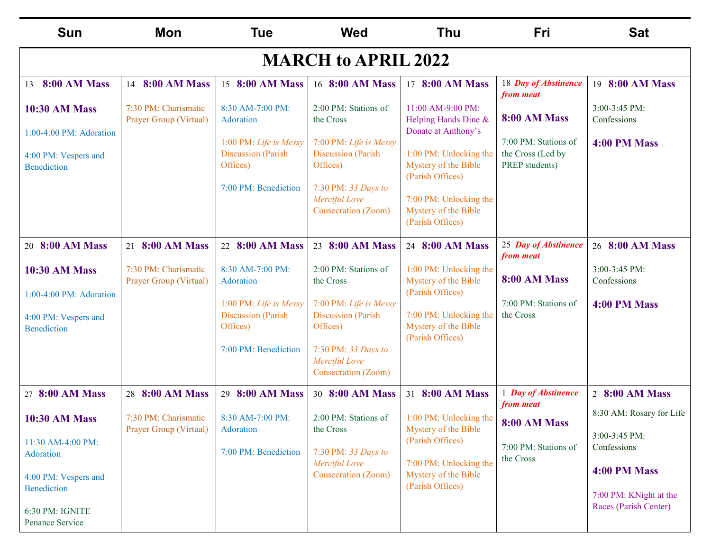| <b>Sun</b>                                             | <b>Mon</b>                                     | <b>Tue</b>                                               | <b>Wed</b>                                                  | Thu                                                                | Fri                                                         | <b>Sat</b>                                               |  |
|--------------------------------------------------------|------------------------------------------------|----------------------------------------------------------|-------------------------------------------------------------|--------------------------------------------------------------------|-------------------------------------------------------------|----------------------------------------------------------|--|
| <b>MARCH to APRIL 2022</b>                             |                                                |                                                          |                                                             |                                                                    |                                                             |                                                          |  |
| 8:00 AM Mass<br>13                                     | 14 8:00 AM Mass                                | 15 8:00 AM Mass                                          | 16 8:00 AM Mass                                             | 17 8:00 AM Mass                                                    | 18 Day of Abstinence<br>from meat                           | 19 8:00 AM Mass                                          |  |
| <b>10:30 AM Mass</b><br>1:00-4:00 PM: Adoration        | 7:30 PM: Charismatic<br>Prayer Group (Virtual) | 8:30 AM-7:00 PM:<br>Adoration                            | 2:00 PM: Stations of<br>the Cross                           | 11:00 AM-9:00 PM:<br>Helping Hands Dine &<br>Donate at Anthony's   | 8:00 AM Mass                                                | 3:00-3:45 PM:<br>Confessions                             |  |
| 4:00 PM: Vespers and<br><b>Benediction</b>             |                                                | 1:00 PM: Life is Messy<br>Discussion (Parish<br>Offices) | 7:00 PM: Life is Messy<br>Discussion (Parish<br>Offices)    | 1:00 PM: Unlocking the<br>Mystery of the Bible<br>(Parish Offices) | 7:00 PM: Stations of<br>the Cross (Led by<br>PREP students) | 4:00 PM Mass                                             |  |
|                                                        |                                                | 7:00 PM: Benediction                                     | 7:30 PM: 33 Days to<br>Merciful Love<br>Consecration (Zoom) | 7:00 PM: Unlocking the<br>Mystery of the Bible<br>(Parish Offices) |                                                             |                                                          |  |
| 20 8:00 AM Mass                                        | 21 8:00 AM Mass                                | 22 8:00 AM Mass                                          | 23 8:00 AM Mass                                             | 24 8:00 AM Mass                                                    | 25 Day of Abstinence<br>from meat                           | 26 8:00 AM Mass                                          |  |
| <b>10:30 AM Mass</b><br>1:00-4:00 PM: Adoration        | 7:30 PM: Charismatic<br>Prayer Group (Virtual) | 8:30 AM-7:00 PM:<br>Adoration                            | 2:00 PM: Stations of<br>the Cross                           | 1:00 PM: Unlocking the<br>Mystery of the Bible<br>(Parish Offices) | 8:00 AM Mass                                                | 3:00-3:45 PM:<br>Confessions                             |  |
| 4:00 PM: Vespers and<br><b>Benediction</b>             |                                                | 1:00 PM: Life is Messy<br>Discussion (Parish<br>Offices) | 7:00 PM: Life is Messy<br>Discussion (Parish<br>Offices)    | 7:00 PM: Unlocking the<br>Mystery of the Bible<br>(Parish Offices) | 7:00 PM: Stations of<br>the Cross                           | 4:00 PM Mass                                             |  |
|                                                        |                                                | 7:00 PM: Benediction                                     | 7:30 PM: 33 Days to<br>Merciful Love<br>Consecration (Zoom) |                                                                    |                                                             |                                                          |  |
| 27 8:00 AM Mass                                        | 28 8:00 AM Mass                                | 29 8:00 AM Mass                                          | 30 8:00 AM Mass                                             | 31 8:00 AM Mass                                                    | 1 Day of Abstinence<br>from meat                            | 2 8:00 AM Mass                                           |  |
| <b>10:30 AM Mass</b><br>11:30 AM-4:00 PM:<br>Adoration | 7:30 PM: Charismatic<br>Prayer Group (Virtual) | 8:30 AM-7:00 PM:<br>Adoration<br>7:00 PM: Benediction    | 2:00 PM: Stations of<br>the Cross<br>7:30 PM: 33 Days to    | 1:00 PM: Unlocking the<br>Mystery of the Bible<br>(Parish Offices) | <b>8:00 AM Mass</b><br>7:00 PM: Stations of<br>the Cross    | 8:30 AM: Rosary for Life<br>3:00-3:45 PM:<br>Confessions |  |
| 4:00 PM: Vespers and<br><b>Benediction</b>             |                                                |                                                          | Merciful Love<br>Consecration (Zoom)                        | 7:00 PM: Unlocking the<br>Mystery of the Bible<br>(Parish Offices) |                                                             | 4:00 PM Mass<br>7:00 PM: KNight at the                   |  |
| 6:30 PM: IGNITE<br>Penance Service                     |                                                |                                                          |                                                             |                                                                    |                                                             | Races (Parish Center)                                    |  |